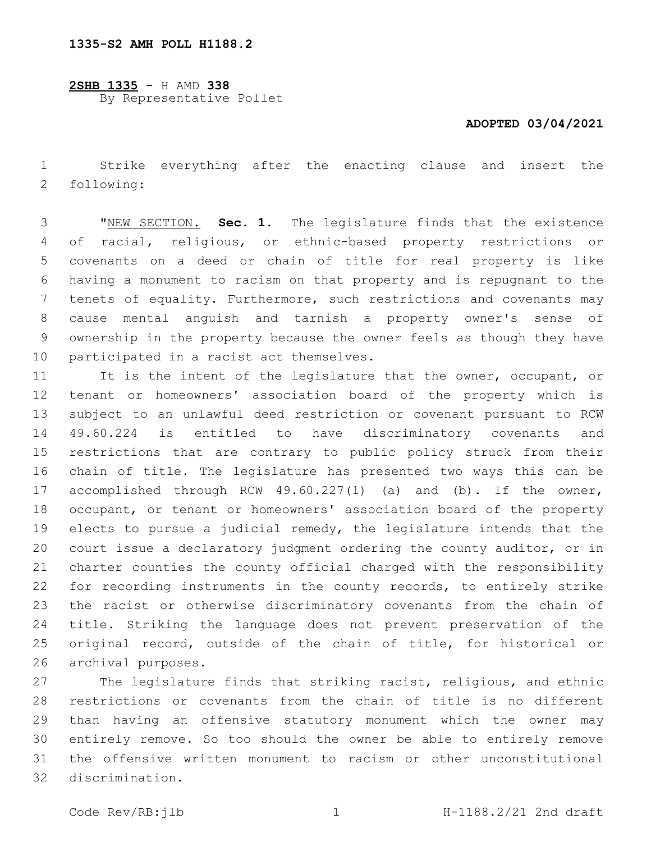**2SHB 1335** - H AMD **338** By Representative Pollet

## **ADOPTED 03/04/2021**

 Strike everything after the enacting clause and insert the 2 following:

 "NEW SECTION. **Sec. 1.** The legislature finds that the existence of racial, religious, or ethnic-based property restrictions or covenants on a deed or chain of title for real property is like having a monument to racism on that property and is repugnant to the tenets of equality. Furthermore, such restrictions and covenants may cause mental anguish and tarnish a property owner's sense of ownership in the property because the owner feels as though they have participated in a racist act themselves.

11 It is the intent of the legislature that the owner, occupant, or tenant or homeowners' association board of the property which is subject to an unlawful deed restriction or covenant pursuant to RCW 49.60.224 is entitled to have discriminatory covenants and restrictions that are contrary to public policy struck from their chain of title. The legislature has presented two ways this can be accomplished through RCW 49.60.227(1) (a) and (b). If the owner, occupant, or tenant or homeowners' association board of the property elects to pursue a judicial remedy, the legislature intends that the court issue a declaratory judgment ordering the county auditor, or in charter counties the county official charged with the responsibility for recording instruments in the county records, to entirely strike the racist or otherwise discriminatory covenants from the chain of title. Striking the language does not prevent preservation of the original record, outside of the chain of title, for historical or 26 archival purposes.

 The legislature finds that striking racist, religious, and ethnic restrictions or covenants from the chain of title is no different than having an offensive statutory monument which the owner may entirely remove. So too should the owner be able to entirely remove the offensive written monument to racism or other unconstitutional 32 discrimination.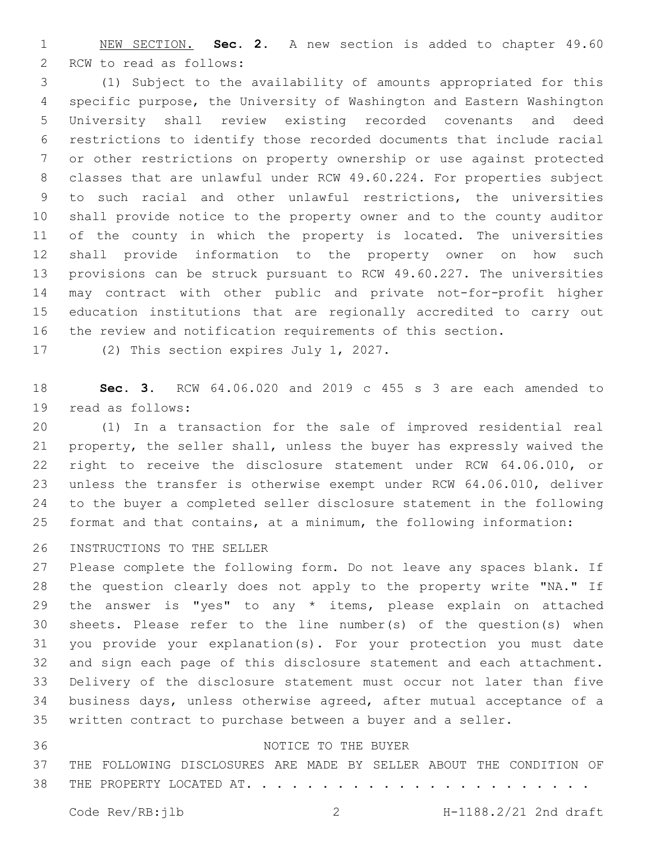NEW SECTION. **Sec. 2.** A new section is added to chapter 49.60 2 RCW to read as follows:

 (1) Subject to the availability of amounts appropriated for this specific purpose, the University of Washington and Eastern Washington University shall review existing recorded covenants and deed restrictions to identify those recorded documents that include racial or other restrictions on property ownership or use against protected classes that are unlawful under RCW 49.60.224. For properties subject to such racial and other unlawful restrictions, the universities shall provide notice to the property owner and to the county auditor of the county in which the property is located. The universities shall provide information to the property owner on how such provisions can be struck pursuant to RCW 49.60.227. The universities may contract with other public and private not-for-profit higher education institutions that are regionally accredited to carry out the review and notification requirements of this section.

17 (2) This section expires July 1, 2027.

 **Sec. 3.** RCW 64.06.020 and 2019 c 455 s 3 are each amended to 19 read as follows:

 (1) In a transaction for the sale of improved residential real property, the seller shall, unless the buyer has expressly waived the right to receive the disclosure statement under RCW 64.06.010, or unless the transfer is otherwise exempt under RCW 64.06.010, deliver to the buyer a completed seller disclosure statement in the following format and that contains, at a minimum, the following information:

26 INSTRUCTIONS TO THE SELLER

 Please complete the following form. Do not leave any spaces blank. If the question clearly does not apply to the property write "NA." If 29 the answer is "yes" to any \* items, please explain on attached sheets. Please refer to the line number(s) of the question(s) when you provide your explanation(s). For your protection you must date and sign each page of this disclosure statement and each attachment. Delivery of the disclosure statement must occur not later than five business days, unless otherwise agreed, after mutual acceptance of a written contract to purchase between a buyer and a seller.

## 36 NOTICE TO THE BUYER

THE FOLLOWING DISCLOSURES ARE MADE BY SELLER ABOUT THE CONDITION OF

38 THE PROPERTY LOCATED AT. . . . . . . . . . . . . .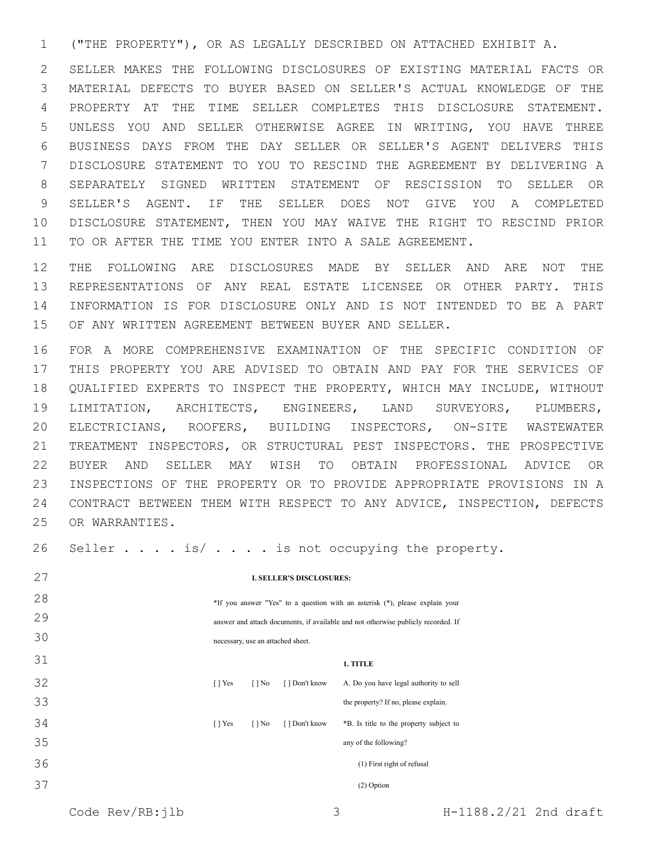("THE PROPERTY"), OR AS LEGALLY DESCRIBED ON ATTACHED EXHIBIT A.

 SELLER MAKES THE FOLLOWING DISCLOSURES OF EXISTING MATERIAL FACTS OR MATERIAL DEFECTS TO BUYER BASED ON SELLER'S ACTUAL KNOWLEDGE OF THE PROPERTY AT THE TIME SELLER COMPLETES THIS DISCLOSURE STATEMENT. UNLESS YOU AND SELLER OTHERWISE AGREE IN WRITING, YOU HAVE THREE BUSINESS DAYS FROM THE DAY SELLER OR SELLER'S AGENT DELIVERS THIS DISCLOSURE STATEMENT TO YOU TO RESCIND THE AGREEMENT BY DELIVERING A SEPARATELY SIGNED WRITTEN STATEMENT OF RESCISSION TO SELLER OR SELLER'S AGENT. IF THE SELLER DOES NOT GIVE YOU A COMPLETED DISCLOSURE STATEMENT, THEN YOU MAY WAIVE THE RIGHT TO RESCIND PRIOR TO OR AFTER THE TIME YOU ENTER INTO A SALE AGREEMENT.

 THE FOLLOWING ARE DISCLOSURES MADE BY SELLER AND ARE NOT THE REPRESENTATIONS OF ANY REAL ESTATE LICENSEE OR OTHER PARTY. THIS INFORMATION IS FOR DISCLOSURE ONLY AND IS NOT INTENDED TO BE A PART OF ANY WRITTEN AGREEMENT BETWEEN BUYER AND SELLER.

 FOR A MORE COMPREHENSIVE EXAMINATION OF THE SPECIFIC CONDITION OF THIS PROPERTY YOU ARE ADVISED TO OBTAIN AND PAY FOR THE SERVICES OF QUALIFIED EXPERTS TO INSPECT THE PROPERTY, WHICH MAY INCLUDE, WITHOUT LIMITATION, ARCHITECTS, ENGINEERS, LAND SURVEYORS, PLUMBERS, ELECTRICIANS, ROOFERS, BUILDING INSPECTORS, ON-SITE WASTEWATER TREATMENT INSPECTORS, OR STRUCTURAL PEST INSPECTORS. THE PROSPECTIVE BUYER AND SELLER MAY WISH TO OBTAIN PROFESSIONAL ADVICE OR INSPECTIONS OF THE PROPERTY OR TO PROVIDE APPROPRIATE PROVISIONS IN A CONTRACT BETWEEN THEM WITH RESPECT TO ANY ADVICE, INSPECTION, DEFECTS 25 OR WARRANTIES.

26 Seller . . . . is/ . . . . is not occupying the property.

| 27 | <b>I. SELLER'S DISCLOSURES:</b>                                                   |                          |                |                                         |  |  |  |
|----|-----------------------------------------------------------------------------------|--------------------------|----------------|-----------------------------------------|--|--|--|
| 28 | *If you answer "Yes" to a question with an asterisk (*), please explain your      |                          |                |                                         |  |  |  |
| 29 | answer and attach documents, if available and not otherwise publicly recorded. If |                          |                |                                         |  |  |  |
| 30 | necessary, use an attached sheet.                                                 |                          |                |                                         |  |  |  |
| 31 | 1. TITLE                                                                          |                          |                |                                         |  |  |  |
| 32 | $\lceil \cdot \rceil$ Yes                                                         | $\lceil \cdot \rceil$ No | [ ] Don't know | A. Do you have legal authority to sell  |  |  |  |
| 33 |                                                                                   |                          |                | the property? If no, please explain.    |  |  |  |
| 34 | $\lceil \cdot \rceil$ Yes                                                         | $\lceil \cdot \rceil$ No | [ ] Don't know | *B. Is title to the property subject to |  |  |  |
| 35 |                                                                                   |                          |                | any of the following?                   |  |  |  |
| 36 | (1) First right of refusal                                                        |                          |                |                                         |  |  |  |
| 37 | (2) Option                                                                        |                          |                |                                         |  |  |  |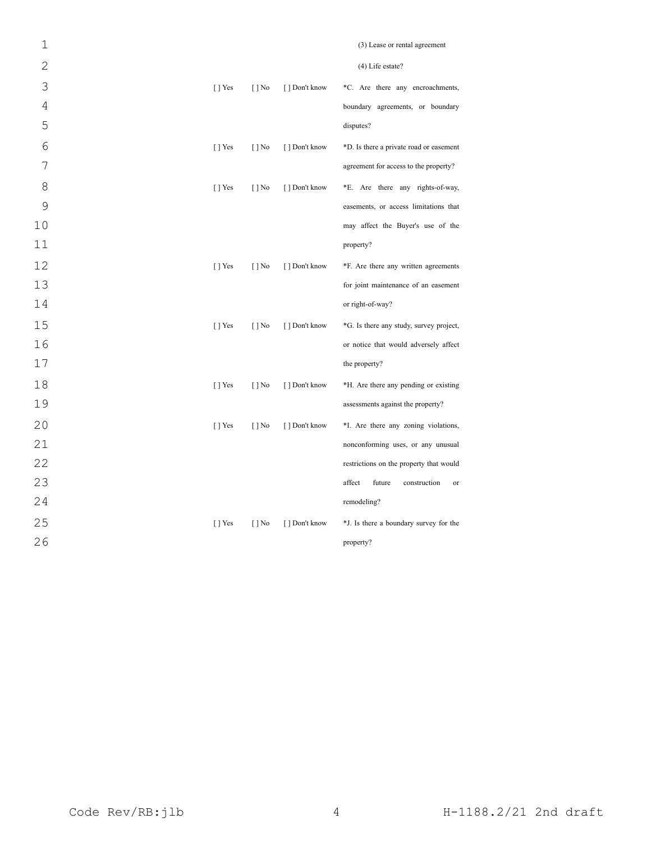| $\mathbf 1$    |                |                          |                | (3) Lease or rental agreement           |
|----------------|----------------|--------------------------|----------------|-----------------------------------------|
| $\overline{2}$ |                |                          |                | $(4)$ Life estate?                      |
| 3              | $\lceil$   Yes | $[$   No                 | [] Don't know  | *C. Are there any encroachments,        |
| $\sqrt{4}$     |                |                          |                | boundary agreements, or boundary        |
| 5              |                |                          |                | disputes?                               |
| 6              | [ ] Yes        | $[$   No                 | [ ] Don't know | *D. Is there a private road or easement |
| 7              |                |                          |                | agreement for access to the property?   |
| 8              | $\lceil$   Yes | $[$   No                 | [ ] Don't know | *E. Are there any rights-of-way,        |
| $\mathcal{G}$  |                |                          |                | easements, or access limitations that   |
| 10             |                |                          |                | may affect the Buyer's use of the       |
| 11             |                |                          |                | property?                               |
| 12             | [ ] Yes        | $[$   No                 | [ ] Don't know | *F. Are there any written agreements    |
| 13             |                |                          |                | for joint maintenance of an easement    |
| 14             |                |                          |                | or right-of-way?                        |
| 15             | [ ] Yes        | $[ ]$ No                 | [ ] Don't know | *G. Is there any study, survey project, |
| 16             |                |                          |                | or notice that would adversely affect   |
| 17             |                |                          |                | the property?                           |
| 18             | [ ] Yes        | $\lceil \cdot \rceil$ No | [ ] Don't know | *H. Are there any pending or existing   |
| 19             |                |                          |                | assessments against the property?       |
| 20             | $\lceil$   Yes | $[$   No                 | [ ] Don't know | *I. Are there any zoning violations,    |
| 21             |                |                          |                | nonconforming uses, or any unusual      |
| 22             |                |                          |                | restrictions on the property that would |
| 23             |                |                          |                | affect<br>future<br>construction<br>or  |
| 24             |                |                          |                | remodeling?                             |
| 25             | [ ] Yes        | $[$   No                 | [ ] Don't know | *J. Is there a boundary survey for the  |
| 26             |                |                          |                | property?                               |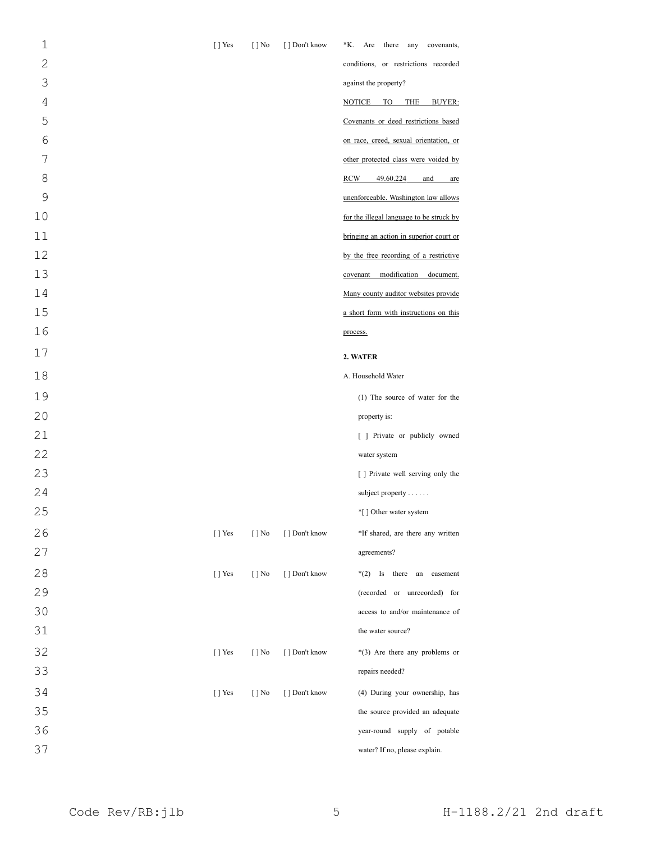| $\mathbf{1}$ | [] Yes    | $\lceil \cdot \rceil$ No | [ ] Don't know | *K. Are there any<br>covenants,             |
|--------------|-----------|--------------------------|----------------|---------------------------------------------|
| $\mathbf{2}$ |           |                          |                | conditions, or restrictions recorded        |
| 3            |           |                          |                | against the property?                       |
| 4            |           |                          |                | <b>NOTICE</b><br>TO<br><b>THE</b><br>BUYER: |
| 5            |           |                          |                | Covenants or deed restrictions based        |
| 6            |           |                          |                | on race, creed, sexual orientation, or      |
| 7            |           |                          |                | other protected class were voided by        |
| 8            |           |                          |                | RCW<br>49.60.224<br>and<br>are              |
| 9            |           |                          |                | unenforceable. Washington law allows        |
| 10           |           |                          |                | for the illegal language to be struck by    |
| 11           |           |                          |                | bringing an action in superior court or     |
| 12           |           |                          |                | by the free recording of a restrictive      |
| 13           |           |                          |                | covenant modification document.             |
| 14           |           |                          |                | Many county auditor websites provide        |
| 15           |           |                          |                | a short form with instructions on this      |
| 16           |           |                          |                | process.                                    |
| 17           |           |                          |                | 2. WATER                                    |
| 18           |           |                          |                | A. Household Water                          |
| 19           |           |                          |                | (1) The source of water for the             |
| 20           |           |                          |                | property is:                                |
| 21           |           |                          |                | [ ] Private or publicly owned               |
| 22           |           |                          |                | water system                                |
| 23           |           |                          |                | [ ] Private well serving only the           |
| 24           |           |                          |                | subject property $\dots$ .                  |
| 25           |           |                          |                | *[] Other water system                      |
| 26           | $[$ T Yes | $[$   No                 | [] Don't know  | *If shared, are there any written           |
| 27           |           |                          |                | agreements?                                 |
| 28           | $[$ ] Yes | $[ ]$ No                 | [] Don't know  | $*(2)$ Is there an easement                 |
| 29           |           |                          |                | (recorded or unrecorded) for                |
| 30           |           |                          |                | access to and/or maintenance of             |
| 31           |           |                          |                | the water source?                           |
| 32           | $[$ ] Yes | $[$ ] No                 | [] Don't know  | $*(3)$ Are there any problems or            |
| 33           |           |                          |                | repairs needed?                             |
| 34           | $[$ T Yes | $[ ]$ No                 | [ ] Don't know | (4) During your ownership, has              |
| 35           |           |                          |                | the source provided an adequate             |
| 36           |           |                          |                | year-round supply of potable                |
| 37           |           |                          |                | water? If no, please explain.               |
|              |           |                          |                |                                             |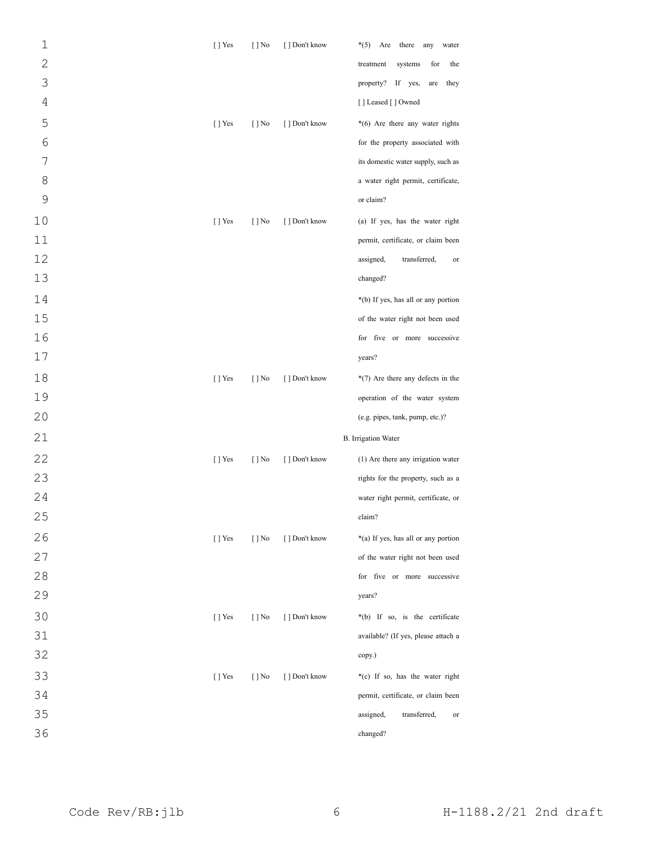| $\mathbf 1$     | $[$ T Yes | $[ ]$ No | [ ] Don't know | $*(5)$ Are<br>there<br>any<br>water |
|-----------------|-----------|----------|----------------|-------------------------------------|
| $\overline{2}$  |           |          |                | for<br>the<br>treatment<br>systems  |
| 3               |           |          |                | property?<br>If yes,<br>they<br>are |
| $\sqrt{4}$      |           |          |                | [] Leased [] Owned                  |
| 5               | $[$ T Yes | $[ ]$ No | [ ] Don't know | *(6) Are there any water rights     |
| $6\phantom{.}6$ |           |          |                | for the property associated with    |
| 7               |           |          |                | its domestic water supply, such as  |
| 8               |           |          |                | a water right permit, certificate,  |
| 9               |           |          |                | or claim?                           |
| 10              | $[$ T Yes | $[ ]$ No | [ ] Don't know | (a) If yes, has the water right     |
| 11              |           |          |                | permit, certificate, or claim been  |
| 12              |           |          |                | transferred,<br>assigned,<br>or     |
| 13              |           |          |                | changed?                            |
| 14              |           |          |                | *(b) If yes, has all or any portion |
| 15              |           |          |                | of the water right not been used    |
| 16              |           |          |                | for five or more successive         |
| $17$            |           |          |                | years?                              |
| 18              | $[$ T Yes | $[ ]$ No | [ ] Don't know | $*(7)$ Are there any defects in the |
| 19              |           |          |                | operation of the water system       |
| 20              |           |          |                | (e.g. pipes, tank, pump, etc.)?     |
| 21              |           |          |                | <b>B.</b> Irrigation Water          |
| 22              | $[$ T Yes | $[ ]$ No | [ ] Don't know | (1) Are there any irrigation water  |
| 23              |           |          |                | rights for the property, such as a  |
| 24              |           |          |                | water right permit, certificate, or |
| 25              |           |          |                | claim?                              |
| 26              | $[$ T Yes | $[ ]$ No | [ ] Don't know | *(a) If yes, has all or any portion |
| 27              |           |          |                | of the water right not been used    |
| 28              |           |          |                | for five or more successive         |
| 29              |           |          |                | years?                              |
| 30              | $[$ T Yes | $[$   No | [ ] Don't know | *(b) If so, is the certificate      |
| 31              |           |          |                | available? (If yes, please attach a |
| 32              |           |          |                | copy.)                              |
| 33              | $[$ T Yes | $[ ]$ No | [ ] Don't know | *(c) If so, has the water right     |
| 34              |           |          |                | permit, certificate, or claim been  |
| 35              |           |          |                | assigned,<br>transferred,<br>or     |
| 36              |           |          |                | changed?                            |
|                 |           |          |                |                                     |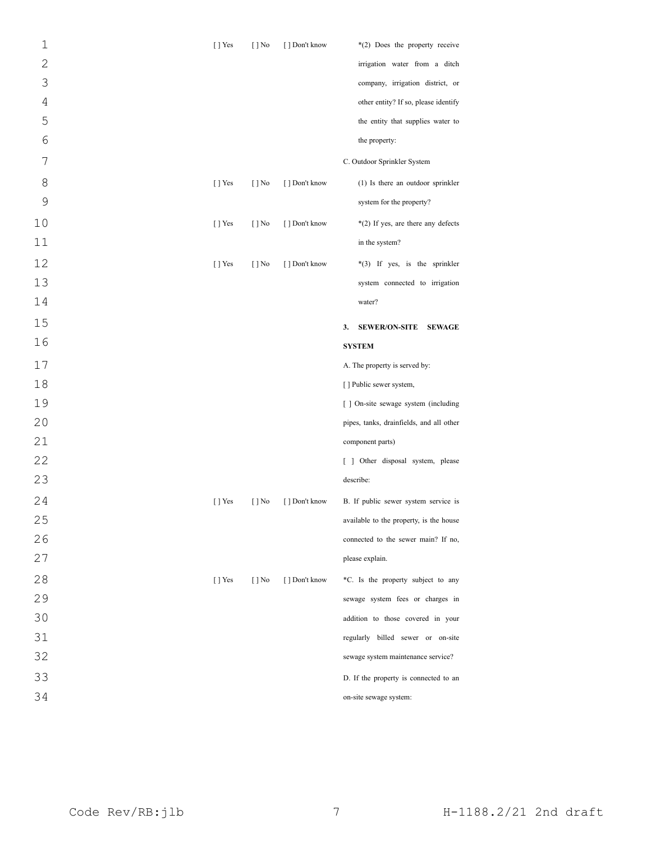| $\mathbf 1$    | [ ] Yes | $[ ]$ No                 | [ ] Don't know | *(2) Does the property receive              |
|----------------|---------|--------------------------|----------------|---------------------------------------------|
| $\overline{2}$ |         |                          |                | irrigation water from a ditch               |
| 3              |         |                          |                | company, irrigation district, or            |
| 4              |         |                          |                | other entity? If so, please identify        |
| 5              |         |                          |                | the entity that supplies water to           |
| 6              |         |                          |                | the property:                               |
| 7              |         |                          |                | C. Outdoor Sprinkler System                 |
| 8              | [] Yes  | $\lceil \cdot \rceil$ No | [ ] Don't know | (1) Is there an outdoor sprinkler           |
| 9              |         |                          |                | system for the property?                    |
| 10             | [] Yes  | $\lceil \cdot \rceil$ No | [ ] Don't know | *(2) If yes, are there any defects          |
| 11             |         |                          |                | in the system?                              |
| 12             | [] Yes  | $[ ]$ No                 | [ ] Don't know | *(3) If yes, is the sprinkler               |
| 13             |         |                          |                | system connected to irrigation              |
| 14             |         |                          |                | water?                                      |
| 15             |         |                          |                | <b>SEWER/ON-SITE</b><br><b>SEWAGE</b><br>3. |
| 16             |         |                          |                | <b>SYSTEM</b>                               |
| 17             |         |                          |                | A. The property is served by:               |
| 18             |         |                          |                | [] Public sewer system,                     |
| 19             |         |                          |                | [ ] On-site sewage system (including        |
| 20             |         |                          |                | pipes, tanks, drainfields, and all other    |
| 21             |         |                          |                | component parts)                            |
| 22             |         |                          |                | [ ] Other disposal system, please           |
| 23             |         |                          |                | describe:                                   |
| 24             | [] Yes  | $[ ]$ No                 | [ ] Don't know | B. If public sewer system service is        |
| 25             |         |                          |                | available to the property, is the house     |
| 26             |         |                          |                | connected to the sewer main? If no,         |
| 27             |         |                          |                | please explain.                             |
| 28             | [ ] Yes | $\lceil \cdot \rceil$ No | [] Don't know  | *C. Is the property subject to any          |
| 29             |         |                          |                | sewage system fees or charges in            |
| 30             |         |                          |                | addition to those covered in your           |
| 31             |         |                          |                | regularly billed sewer or on-site           |
| 32             |         |                          |                | sewage system maintenance service?          |
| 33             |         |                          |                | D. If the property is connected to an       |
| 34             |         |                          |                | on-site sewage system:                      |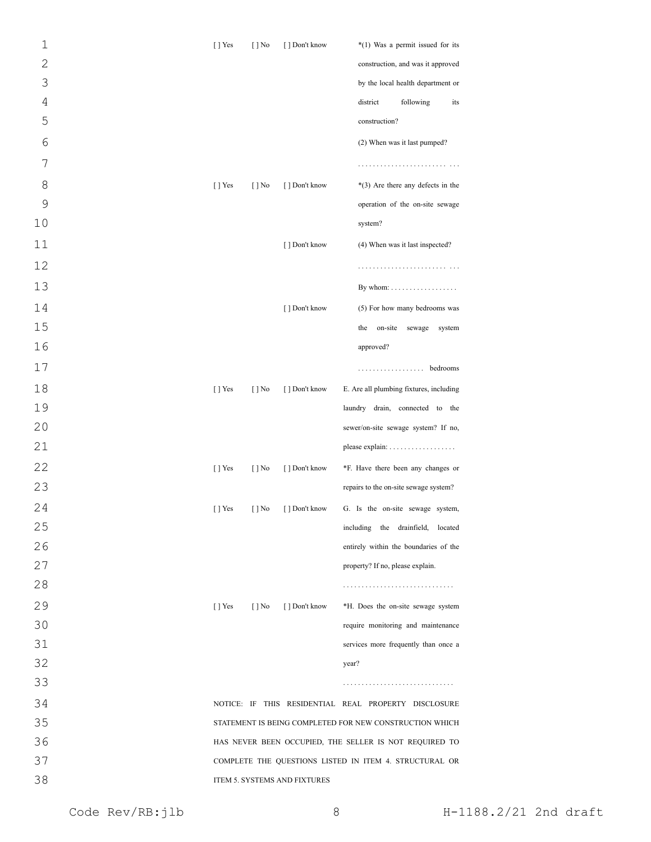| $\mathbf 1$  | $[$ T Yes             | $[ ]$ No                 | [] Don't know                | $*(1)$ Was a permit issued for its                      |
|--------------|-----------------------|--------------------------|------------------------------|---------------------------------------------------------|
| $\mathbf{2}$ |                       |                          |                              | construction, and was it approved                       |
| 3            |                       |                          |                              | by the local health department or                       |
| $\sqrt{4}$   |                       |                          |                              | district<br>following<br>its                            |
| 5            |                       |                          |                              | construction?                                           |
| 6            |                       |                          |                              | (2) When was it last pumped?                            |
| 7            |                       |                          |                              |                                                         |
| 8            | $[$ T Yes             | $[$ ] No                 | [] Don't know                | $*(3)$ Are there any defects in the                     |
| 9            |                       |                          |                              | operation of the on-site sewage                         |
| 10           |                       |                          |                              | system?                                                 |
| 11           |                       |                          | [ ] Don't know               | (4) When was it last inspected?                         |
| 12           |                       |                          |                              |                                                         |
| 13           |                       |                          |                              | By whom: $\dots \dots \dots \dots \dots$                |
| 14           |                       |                          | [ ] Don't know               | (5) For how many bedrooms was                           |
| 15           |                       |                          |                              | on-site<br>the<br>sewage<br>system                      |
| 16           |                       |                          |                              | approved?                                               |
| 17           |                       |                          |                              | . bedrooms                                              |
| 18           | $[$ T Yes             | $[$ ] No                 | [] Don't know                | E. Are all plumbing fixtures, including                 |
| 19           |                       |                          |                              | laundry drain, connected to the                         |
| 20           |                       |                          |                              | sewer/on-site sewage system? If no,                     |
| 21           |                       |                          |                              |                                                         |
| 22           | [] Yes                | $[$   No                 | [ ] Don't know               | *F. Have there been any changes or                      |
| 23           |                       |                          |                              | repairs to the on-site sewage system?                   |
| 24           | $\left[\ \right]$ Yes | [ ] No                   | [ ] Don't know               | G. Is the on-site sewage system.                        |
| 25           |                       |                          |                              | including the drainfield, located                       |
| 26           |                       |                          |                              | entirely within the boundaries of the                   |
| 27           |                       |                          |                              | property? If no, please explain.                        |
| 28           |                       |                          |                              |                                                         |
| 29           | [ ] Yes               | $\lceil \cdot \rceil$ No | [] Don't know                | *H. Does the on-site sewage system                      |
| 30           |                       |                          |                              | require monitoring and maintenance                      |
| 31           |                       |                          |                              | services more frequently than once a                    |
| 32           |                       |                          |                              | year?                                                   |
| 33           |                       |                          |                              |                                                         |
| 34           |                       |                          |                              | NOTICE: IF THIS RESIDENTIAL REAL PROPERTY DISCLOSURE    |
| 35           |                       |                          |                              | STATEMENT IS BEING COMPLETED FOR NEW CONSTRUCTION WHICH |
| 36           |                       |                          |                              | HAS NEVER BEEN OCCUPIED, THE SELLER IS NOT REQUIRED TO  |
| 37           |                       |                          |                              | COMPLETE THE QUESTIONS LISTED IN ITEM 4. STRUCTURAL OR  |
| 38           |                       |                          | ITEM 5. SYSTEMS AND FIXTURES |                                                         |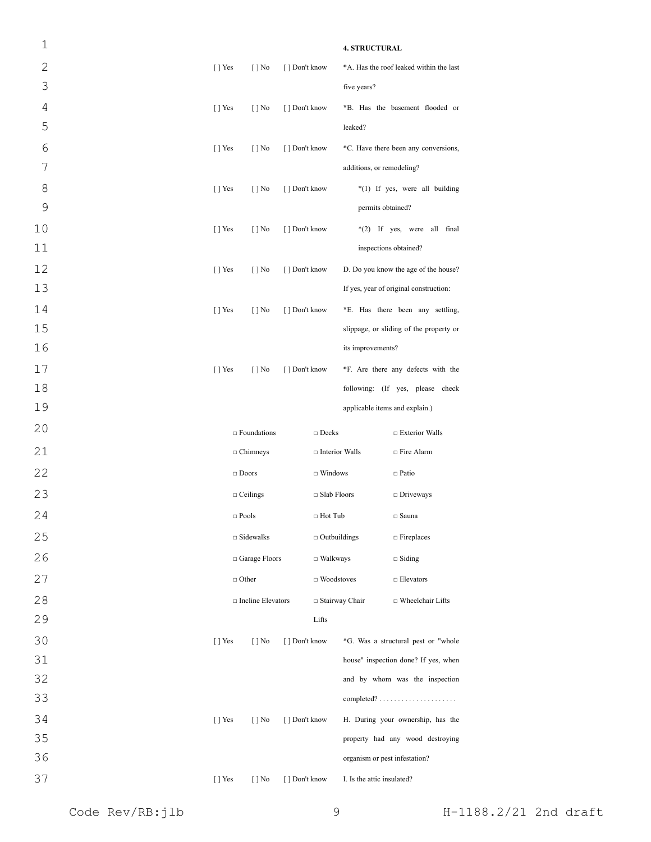| 1            |                           |                          |                |                       | <b>4. STRUCTURAL</b>           |                                                        |
|--------------|---------------------------|--------------------------|----------------|-----------------------|--------------------------------|--------------------------------------------------------|
| $\mathbf{2}$ | $[$ T Yes                 | $[ ]$ No                 | [] Don't know  |                       |                                | *A. Has the roof leaked within the last                |
| 3            |                           |                          |                |                       | five years?                    |                                                        |
| 4            | $\lceil$   Yes            | $\lceil \cdot \rceil$ No | [ ] Don't know |                       |                                | *B. Has the basement flooded or                        |
| 5            |                           |                          |                |                       | leaked?                        |                                                        |
| 6            | $[ ]$ Yes                 | $[$   No                 | [ ] Don't know |                       |                                | *C. Have there been any conversions,                   |
| 7            |                           |                          |                |                       | additions, or remodeling?      |                                                        |
| 8            | $[ ]$ Yes                 | $[ ]$ No                 | [ ] Don't know |                       |                                | *(1) If yes, were all building                         |
| 9            |                           |                          |                |                       | permits obtained?              |                                                        |
| 10           | $\lceil \cdot \rceil$ Yes | $\lceil \cdot \rceil$ No | [ ] Don't know |                       |                                | *(2) If yes, were all final                            |
| 11           |                           |                          |                |                       | inspections obtained?          |                                                        |
| 12           | $\lceil$   Yes            | $[ ]$ No                 | [ ] Don't know |                       |                                | D. Do you know the age of the house?                   |
| 13           |                           |                          |                |                       |                                | If yes, year of original construction:                 |
| 14           | $[$ T Yes                 | $[ ]$ No                 | [ ] Don't know |                       |                                | *E. Has there been any settling,                       |
| 15           |                           |                          |                |                       |                                | slippage, or sliding of the property or                |
| 16           |                           |                          |                |                       | its improvements?              |                                                        |
| 17           | $\lceil$   Yes            | $\lceil \cdot \rceil$ No | [ ] Don't know |                       |                                | *F. Are there any defects with the                     |
| 18           |                           |                          |                |                       |                                | following: (If yes, please check                       |
| 19           |                           |                          |                |                       | applicable items and explain.) |                                                        |
| 20           |                           | $\Box$ Foundations       |                | $\Box$ Decks          |                                | □ Exterior Walls                                       |
| 21           |                           | $\Box$ Chimneys          |                | □ Interior Walls      |                                | □ Fire Alarm                                           |
| 22           | $\Box$ Doors              |                          |                | $\Box$ Windows        |                                | $\Box$ Patio                                           |
| 23           | $\Box$ Ceilings           |                          |                | $\Box$ Slab Floors    |                                | $\Box$ Driveways                                       |
| 24           | $\Box$ Pools              |                          |                | □ Hot Tub             |                                | $\Box$ Sauna                                           |
| 25           |                           | $\Box$ Sidewalks         |                | $\Box$ Outbuildings   |                                | $\Box$ Fireplaces                                      |
| 26           |                           | □ Garage Floors          |                | $\Box$ Walkways       |                                | $\Box$ Siding                                          |
| 27           | $\Box$ Other              |                          |                | $\Box$ Woodstoves     |                                | $\Box$ Elevators                                       |
| 28           |                           | □ Incline Elevators      |                | $\Box$ Stairway Chair |                                | □ Wheelchair Lifts                                     |
| 29           |                           |                          |                | Lifts                 |                                |                                                        |
| 30           | $[$ T Yes                 | $[ ]$ No                 | [ ] Don't know |                       |                                | *G. Was a structural pest or "whole                    |
| 31           |                           |                          |                |                       |                                | house" inspection done? If yes, when                   |
| 32           |                           |                          |                |                       |                                | and by whom was the inspection                         |
| 33           |                           |                          |                |                       |                                | $completed? \ldots \ldots \ldots \ldots \ldots \ldots$ |
| 34           | $[$ T Yes                 | $[ ]$ No                 | [ ] Don't know |                       |                                | H. During your ownership, has the                      |
| 35           |                           |                          |                |                       |                                | property had any wood destroying                       |
| 36           |                           |                          |                |                       | organism or pest infestation?  |                                                        |
| 37           | $[$ T Yes                 | $[ ]$ No                 | [ ] Don't know |                       | I. Is the attic insulated?     |                                                        |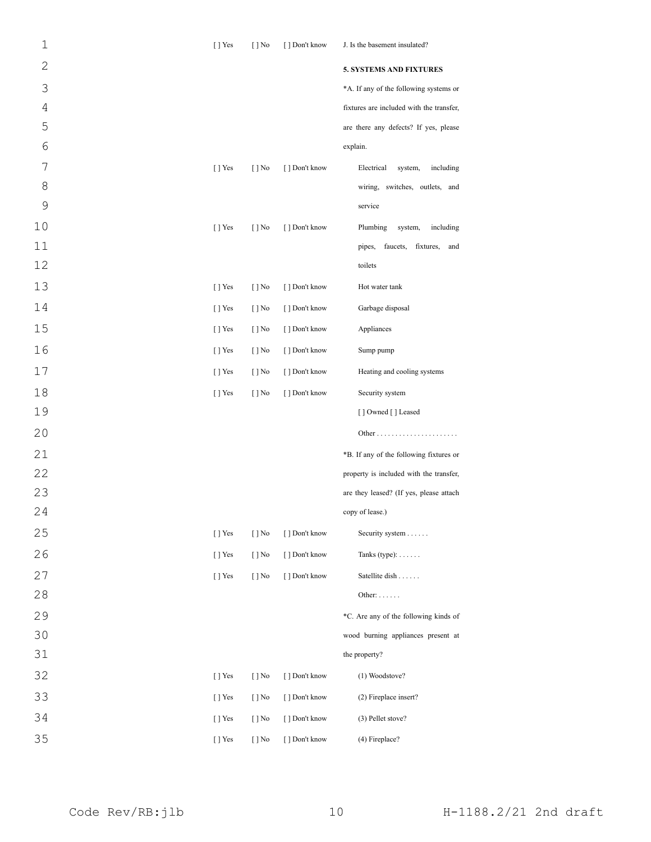| $\mathbf 1$    | [] Yes         | $\lceil \cdot \rceil$ No | [ ] Don't know | J. Is the basement insulated?            |
|----------------|----------------|--------------------------|----------------|------------------------------------------|
| $\mathbf 2$    |                |                          |                | <b>5. SYSTEMS AND FIXTURES</b>           |
| 3              |                |                          |                | *A. If any of the following systems or   |
| $\overline{4}$ |                |                          |                | fixtures are included with the transfer, |
| 5              |                |                          |                | are there any defects? If yes, please    |
| 6              |                |                          |                | explain.                                 |
| 7              | [] Yes         | $[$ ] No                 | [ ] Don't know | Electrical<br>system,<br>including       |
| 8              |                |                          |                | wiring, switches, outlets, and           |
| $\mathsf 9$    |                |                          |                | service                                  |
| 10             | [] Yes         | $[ ]$ No                 | [ ] Don't know | Plumbing<br>system,<br>including         |
| 11             |                |                          |                | faucets,<br>pipes,<br>fixtures,<br>and   |
| 12             |                |                          |                | toilets                                  |
| 13             | $[$ T Yes      | $[$ ] No                 | [ ] Don't know | Hot water tank                           |
| 14             | $[$ T Yes      | $[$ ] No                 | [ ] Don't know | Garbage disposal                         |
| 15             | $\lceil$   Yes | $[$ ] No                 | [ ] Don't know | Appliances                               |
| 16             | $[$ T Yes      | $[$ ] No                 | [] Don't know  | Sump pump                                |
| 17             | $[$ T Yes      | $[$ ] No                 | [ ] Don't know | Heating and cooling systems              |
| 18             | [] Yes         | $[ ]$ No                 | [] Don't know  | Security system                          |
| 19             |                |                          |                | [] Owned [] Leased                       |
| 20             |                |                          |                |                                          |
| 21             |                |                          |                | *B. If any of the following fixtures or  |
| 22             |                |                          |                | property is included with the transfer,  |
| 23             |                |                          |                | are they leased? (If yes, please attach  |
| 24             |                |                          |                | copy of lease.)                          |
| 25             | [] Yes         | $[ ]$ No                 | [] Don't know  | Security system                          |
| 26             | $[$ T Yes      | $[$ ] No                 | [ ] Don't know | Tanks (type): $\dots$                    |
| 27             | [] Yes         | $[ ]$ No                 | [] Don't know  | Satellite dish                           |
| 28             |                |                          |                | Other: $\dots$                           |
| 29             |                |                          |                | *C. Are any of the following kinds of    |
| 30             |                |                          |                | wood burning appliances present at       |
| 31             |                |                          |                | the property?                            |
| 32             | [] Yes         | $[$ ] No                 | [ ] Don't know | (1) Woodstove?                           |
| 33             | [] Yes         | $[$ ] No                 | [ ] Don't know | (2) Fireplace insert?                    |
| 34             | [] Yes         | $[ ]$ No                 | [ ] Don't know | (3) Pellet stove?                        |
| 35             | [ ] Yes        | $[ ]$ No                 | [ ] Don't know | (4) Fireplace?                           |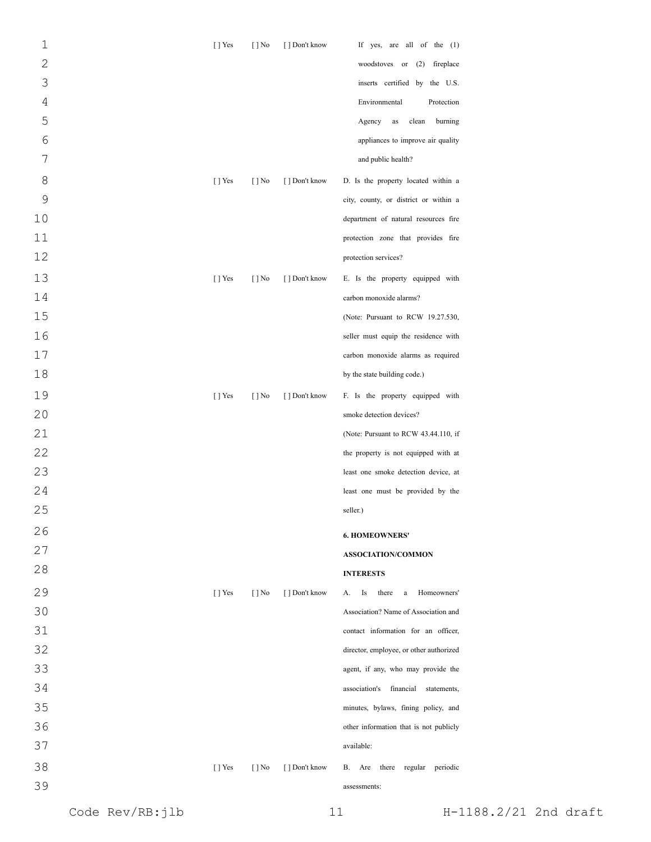| $\mathbf 1$    | $[ ]$ Yes | $[ ]$ No                 | [] Don't know  | If yes, are all of the $(1)$              |
|----------------|-----------|--------------------------|----------------|-------------------------------------------|
| $\overline{c}$ |           |                          |                | woodstoves or (2) fireplace               |
| 3              |           |                          |                | inserts certified by the U.S.             |
| $\sqrt{4}$     |           |                          |                | Environmental<br>Protection               |
| 5              |           |                          |                | Agency<br>clean<br>burning<br>as          |
| 6              |           |                          |                | appliances to improve air quality         |
| 7              |           |                          |                | and public health?                        |
| 8              | $[ ]$ Yes | $[ ]$ No                 | [ ] Don't know | D. Is the property located within a       |
| 9              |           |                          |                | city, county, or district or within a     |
| 10             |           |                          |                | department of natural resources fire      |
| 11             |           |                          |                | protection zone that provides fire        |
| 12             |           |                          |                | protection services?                      |
| 13             | $[ ]$ Yes | $[$   No                 | [ ] Don't know | E. Is the property equipped with          |
| 14             |           |                          |                | carbon monoxide alarms?                   |
| 15             |           |                          |                | (Note: Pursuant to RCW 19.27.530,         |
| 16             |           |                          |                | seller must equip the residence with      |
| 17             |           |                          |                | carbon monoxide alarms as required        |
| 18             |           |                          |                | by the state building code.)              |
| 19             | $[ ]$ Yes | $[ ]$ No                 | [ ] Don't know | F. Is the property equipped with          |
| 20             |           |                          |                | smoke detection devices?                  |
| 21             |           |                          |                | (Note: Pursuant to RCW 43.44.110, if      |
| 22             |           |                          |                | the property is not equipped with at      |
| 23             |           |                          |                | least one smoke detection device, at      |
| 24             |           |                          |                | least one must be provided by the         |
| 25             |           |                          |                | seller.)                                  |
| 26             |           |                          |                | <b>6. HOMEOWNERS'</b>                     |
| 27             |           |                          |                | <b>ASSOCIATION/COMMON</b>                 |
| 28             |           |                          |                | <b>INTERESTS</b>                          |
| 29             | $[$ T Yes | $\lceil \cdot \rceil$ No | [] Don't know  | Is<br>Homeowners'<br>А.<br>there<br>a     |
| 30             |           |                          |                | Association? Name of Association and      |
| 31             |           |                          |                | contact information for an officer,       |
| 32             |           |                          |                | director, employee, or other authorized   |
| 33             |           |                          |                | agent, if any, who may provide the        |
| 34             |           |                          |                | association's<br>financial<br>statements, |
| 35             |           |                          |                | minutes, bylaws, fining policy, and       |
| 36             |           |                          |                | other information that is not publicly    |
| 37             |           |                          |                | available:                                |
| 38             | $[ ]$ Yes | $[$   No                 | [ ] Don't know | there regular<br>periodic<br>В.<br>Are    |
| 39             |           |                          |                | assessments:                              |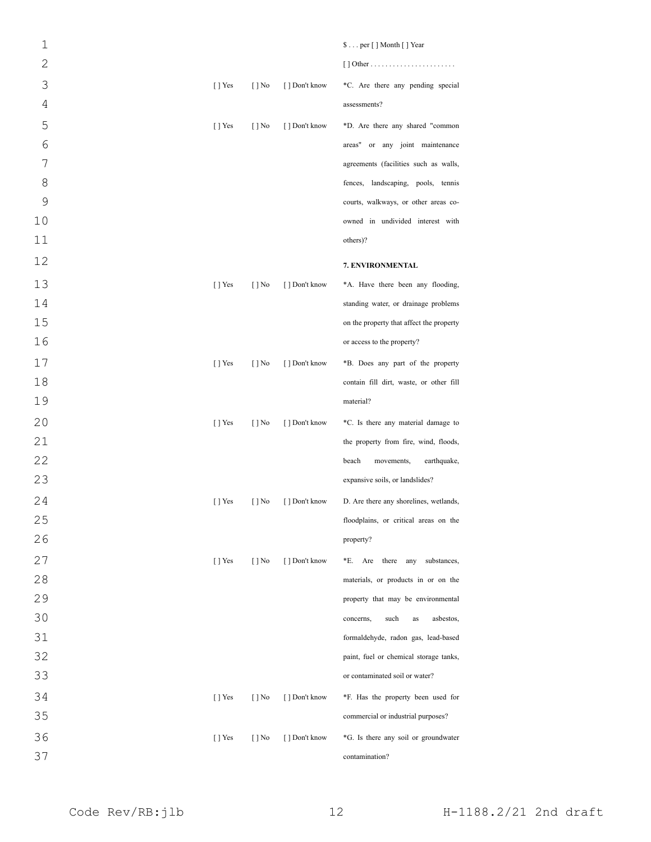| $\mathbf{1}$   |           |                          |                | \$ per [ ] Month [ ] Year                |
|----------------|-----------|--------------------------|----------------|------------------------------------------|
| $\mathbf{2}$   |           |                          |                |                                          |
| 3              | $[$ ] Yes | $\lceil \cdot \rceil$ No | [ ] Don't know | *C. Are there any pending special        |
| $\overline{4}$ |           |                          |                | assessments?                             |
| 5              | $[$ T Yes | $\lceil \cdot \rceil$ No | [ ] Don't know | *D. Are there any shared "common         |
| 6              |           |                          |                | areas" or any joint maintenance          |
| 7              |           |                          |                | agreements (facilities such as walls,    |
| 8              |           |                          |                | fences, landscaping, pools, tennis       |
| 9              |           |                          |                | courts, walkways, or other areas co-     |
| 10             |           |                          |                | owned in undivided interest with         |
| 11             |           |                          |                | others)?                                 |
| 12             |           |                          |                | 7. ENVIRONMENTAL                         |
| 13             | $[$ T Yes | $[ ]$ No                 | [] Don't know  | *A. Have there been any flooding,        |
| 14             |           |                          |                | standing water, or drainage problems     |
| 15             |           |                          |                | on the property that affect the property |
| 16             |           |                          |                | or access to the property?               |
| 17             | $[$ T Yes | $[ ]$ No                 | [] Don't know  | *B. Does any part of the property        |
| 18             |           |                          |                | contain fill dirt, waste, or other fill  |
| 19             |           |                          |                | material?                                |
| 20             | $[$ T Yes | $\lceil \cdot \rceil$ No | [] Don't know  | *C. Is there any material damage to      |
| 21             |           |                          |                | the property from fire, wind, floods,    |
| 22             |           |                          |                | beach<br>movements,<br>earthquake,       |
| 23             |           |                          |                | expansive soils, or landslides?          |
| 24             | $[ ]$ Yes | $[$ ] No                 | [] Don't know  | D. Are there any shorelines, wetlands,   |
| 25             |           |                          |                | floodplains, or critical areas on the    |
| 26             |           |                          |                | property?                                |
| 27             | $[$ ] Yes | $\lceil \cdot \rceil$ No | [] Don't know  | *E. Are there any<br>substances,         |
| 28             |           |                          |                | materials, or products in or on the      |
| 29             |           |                          |                | property that may be environmental       |
| 30             |           |                          |                | such<br>asbestos,<br>concerns,<br>as     |
| 31             |           |                          |                | formaldehyde, radon gas, lead-based      |
| 32             |           |                          |                | paint, fuel or chemical storage tanks,   |
| 33             |           |                          |                | or contaminated soil or water?           |
| 34             | $[$ T Yes | $\lceil \cdot \rceil$ No | [ ] Don't know | *F. Has the property been used for       |
| 35             |           |                          |                | commercial or industrial purposes?       |
| 36             | $[ ]$ Yes | $[ ]$ No                 | [ ] Don't know | *G. Is there any soil or groundwater     |
| 37             |           |                          |                | contamination?                           |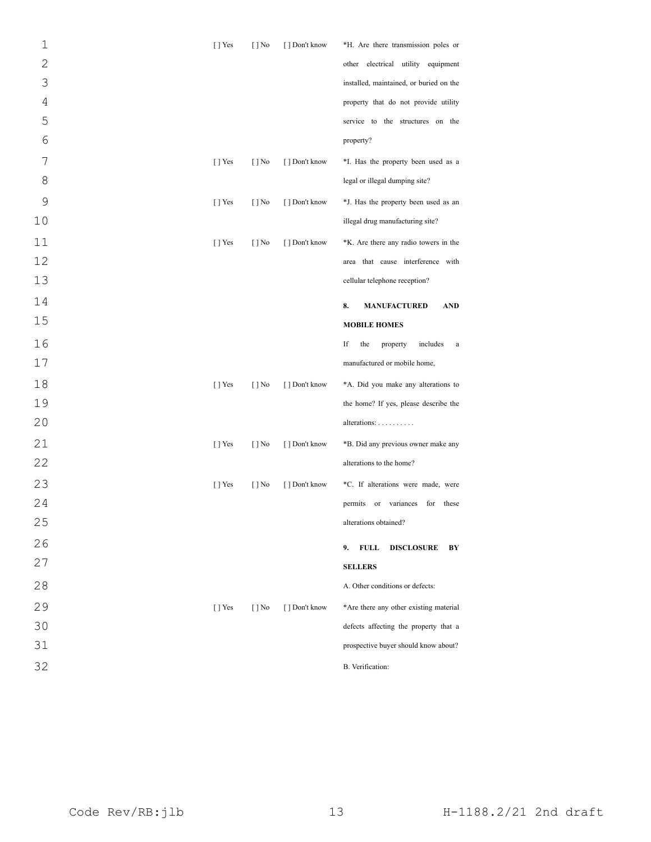| $\mathbf 1$     | $[ ]$ Yes      | $[ ]$ No                 | [] Don't know  | *H. Are there transmission poles or          |
|-----------------|----------------|--------------------------|----------------|----------------------------------------------|
| $\overline{c}$  |                |                          |                | other electrical utility equipment           |
| 3               |                |                          |                | installed, maintained, or buried on the      |
| 4               |                |                          |                | property that do not provide utility         |
| 5               |                |                          |                | service to the structures on the             |
| $6\phantom{1}6$ |                |                          |                | property?                                    |
| 7               | $[$ T Yes      | $\lceil \cdot \rceil$ No | [] Don't know  | *I. Has the property been used as a          |
| 8               |                |                          |                | legal or illegal dumping site?               |
| 9               | $[$ T Yes      | $\lceil \cdot \rceil$ No | [ ] Don't know | *J. Has the property been used as an         |
| 10              |                |                          |                | illegal drug manufacturing site?             |
| 11              | $[$ T Yes      | $[ ]$ No                 | [ ] Don't know | *K. Are there any radio towers in the        |
| 12              |                |                          |                | area that cause interference with            |
| 13              |                |                          |                | cellular telephone reception?                |
| 14              |                |                          |                | 8.<br><b>MANUFACTURED</b><br><b>AND</b>      |
| 15              |                |                          |                | <b>MOBILE HOMES</b>                          |
| 16              |                |                          |                | If<br>the<br>includes<br>property<br>a       |
| $17$            |                |                          |                | manufactured or mobile home,                 |
| 18              | $[$ T Yes      | $\lceil \cdot \rceil$ No | [ ] Don't know | *A. Did you make any alterations to          |
| 19              |                |                          |                | the home? If yes, please describe the        |
| 20              |                |                          |                | alterations:                                 |
| 21              | $[$ T Yes      | $[ ]$ No                 | [ ] Don't know | *B. Did any previous owner make any          |
| 22              |                |                          |                | alterations to the home?                     |
| 23              | $\lceil$   Yes | $[ ]$ No                 | [ ] Don't know | *C. If alterations were made, were           |
| 24              |                |                          |                | permits<br>variances<br>for<br>these<br>or   |
| 25              |                |                          |                | alterations obtained?                        |
| 26              |                |                          |                | 9.<br><b>FULL</b><br>BY<br><b>DISCLOSURE</b> |
| 27              |                |                          |                | <b>SELLERS</b>                               |
| 28              |                |                          |                | A. Other conditions or defects:              |
| 29              | [ ] Yes        | $[$   No                 | [ ] Don't know | *Are there any other existing material       |
| 30              |                |                          |                | defects affecting the property that a        |
| 31              |                |                          |                | prospective buyer should know about?         |
| 32              |                |                          |                | B. Verification:                             |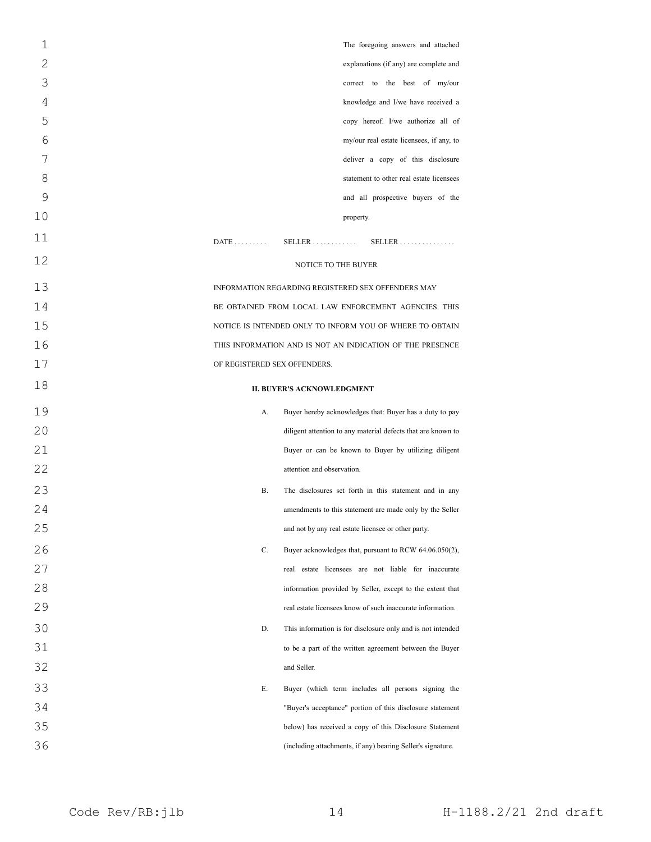| $\mathbf 1$ | The foregoing answers and attached                                  |
|-------------|---------------------------------------------------------------------|
| 2           | explanations (if any) are complete and                              |
| 3           | correct to the best of my/our                                       |
| 4           | knowledge and I/we have received a                                  |
| 5           | copy hereof. I/we authorize all of                                  |
| 6           | my/our real estate licensees, if any, to                            |
| 7           | deliver a copy of this disclosure                                   |
| 8           | statement to other real estate licensees                            |
| 9           | and all prospective buyers of the                                   |
| 10          | property.                                                           |
| 11          | SELLER<br>$DATE$<br>$SELECTR$                                       |
| 12          | <b>NOTICE TO THE BUYER</b>                                          |
| 13          | INFORMATION REGARDING REGISTERED SEX OFFENDERS MAY                  |
| 14          | BE OBTAINED FROM LOCAL LAW ENFORCEMENT AGENCIES. THIS               |
| 15          | NOTICE IS INTENDED ONLY TO INFORM YOU OF WHERE TO OBTAIN            |
| 16          | THIS INFORMATION AND IS NOT AN INDICATION OF THE PRESENCE           |
| 17          | OF REGISTERED SEX OFFENDERS.                                        |
| 18          | <b>II. BUYER'S ACKNOWLEDGMENT</b>                                   |
| 19          | А.<br>Buyer hereby acknowledges that: Buyer has a duty to pay       |
| 20          | diligent attention to any material defects that are known to        |
| 21          | Buyer or can be known to Buyer by utilizing diligent                |
| 22          | attention and observation.                                          |
| 23          | <b>B.</b><br>The disclosures set forth in this statement and in any |
| 24          | amendments to this statement are made only by the Seller            |
| 25          | and not by any real estate licensee or other party.                 |
| 26          | C.<br>Buyer acknowledges that, pursuant to RCW 64.06.050(2),        |
| 27          | real estate licensees are not liable for inaccurate                 |
| 28          | information provided by Seller, except to the extent that           |
| 29          | real estate licensees know of such inaccurate information.          |
| 30          | D.<br>This information is for disclosure only and is not intended   |
| 31          | to be a part of the written agreement between the Buyer             |
| 32          | and Seller.                                                         |
| 33          | Е.<br>Buyer (which term includes all persons signing the            |
| 34          | "Buyer's acceptance" portion of this disclosure statement           |
| 35          | below) has received a copy of this Disclosure Statement             |
| 36          | (including attachments, if any) bearing Seller's signature.         |
|             |                                                                     |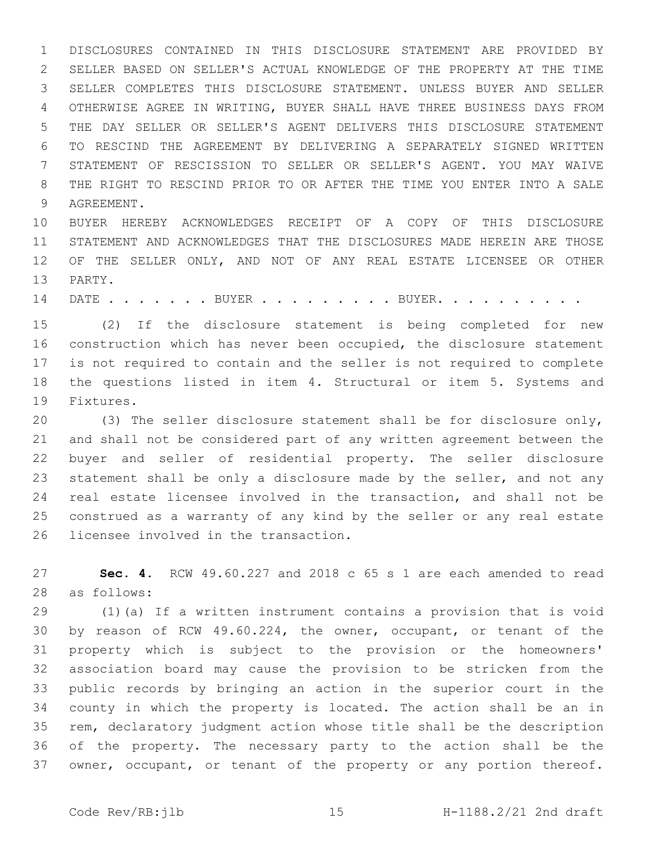DISCLOSURES CONTAINED IN THIS DISCLOSURE STATEMENT ARE PROVIDED BY SELLER BASED ON SELLER'S ACTUAL KNOWLEDGE OF THE PROPERTY AT THE TIME SELLER COMPLETES THIS DISCLOSURE STATEMENT. UNLESS BUYER AND SELLER OTHERWISE AGREE IN WRITING, BUYER SHALL HAVE THREE BUSINESS DAYS FROM THE DAY SELLER OR SELLER'S AGENT DELIVERS THIS DISCLOSURE STATEMENT TO RESCIND THE AGREEMENT BY DELIVERING A SEPARATELY SIGNED WRITTEN STATEMENT OF RESCISSION TO SELLER OR SELLER'S AGENT. YOU MAY WAIVE THE RIGHT TO RESCIND PRIOR TO OR AFTER THE TIME YOU ENTER INTO A SALE 9 AGREEMENT.

 BUYER HEREBY ACKNOWLEDGES RECEIPT OF A COPY OF THIS DISCLOSURE STATEMENT AND ACKNOWLEDGES THAT THE DISCLOSURES MADE HEREIN ARE THOSE OF THE SELLER ONLY, AND NOT OF ANY REAL ESTATE LICENSEE OR OTHER 13 PARTY.

14 DATE . . . . . . BUYER . . . . . . . . BUYER. . . . . . . . . .

 (2) If the disclosure statement is being completed for new construction which has never been occupied, the disclosure statement is not required to contain and the seller is not required to complete 18 the questions listed in item 4. Structural or item 5. Systems and 19 Fixtures.

 (3) The seller disclosure statement shall be for disclosure only, and shall not be considered part of any written agreement between the buyer and seller of residential property. The seller disclosure 23 statement shall be only a disclosure made by the seller, and not any real estate licensee involved in the transaction, and shall not be construed as a warranty of any kind by the seller or any real estate 26 licensee involved in the transaction.

 **Sec. 4.** RCW 49.60.227 and 2018 c 65 s 1 are each amended to read as follows:28

 (1)(a) If a written instrument contains a provision that is void by reason of RCW 49.60.224, the owner, occupant, or tenant of the property which is subject to the provision or the homeowners' association board may cause the provision to be stricken from the public records by bringing an action in the superior court in the county in which the property is located. The action shall be an in rem, declaratory judgment action whose title shall be the description of the property. The necessary party to the action shall be the 37 owner, occupant, or tenant of the property or any portion thereof.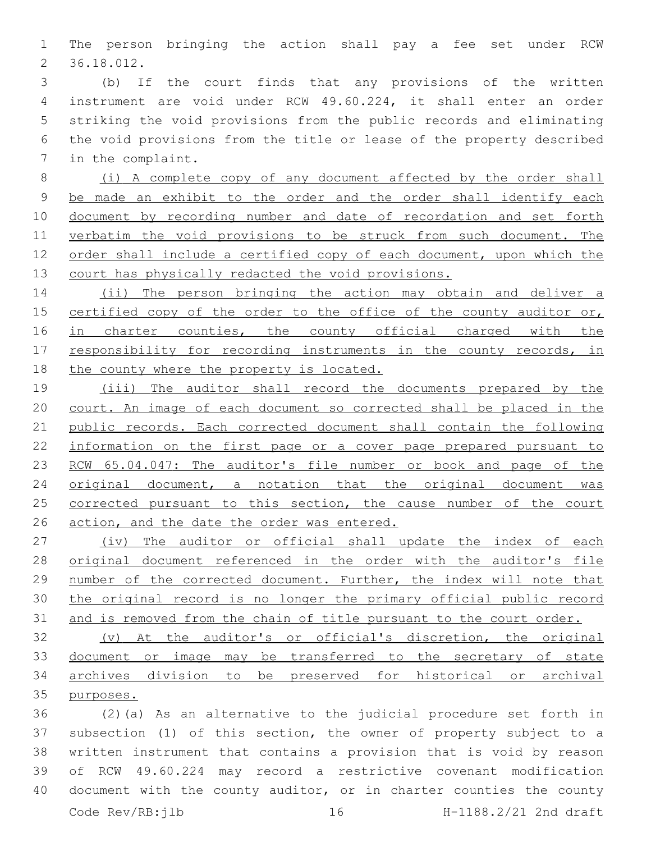The person bringing the action shall pay a fee set under RCW 36.18.012.2

 (b) If the court finds that any provisions of the written instrument are void under RCW 49.60.224, it shall enter an order striking the void provisions from the public records and eliminating the void provisions from the title or lease of the property described 7 in the complaint.

 (i) A complete copy of any document affected by the order shall be made an exhibit to the order and the order shall identify each 10 document by recording number and date of recordation and set forth 11 verbatim the void provisions to be struck from such document. The order shall include a certified copy of each document, upon which the court has physically redacted the void provisions.

14 (ii) The person bringing the action may obtain and deliver a 15 certified copy of the order to the office of the county auditor or, 16 in charter counties, the county official charged with the 17 responsibility for recording instruments in the county records, in 18 the county where the property is located.

 (iii) The auditor shall record the documents prepared by the court. An image of each document so corrected shall be placed in the public records. Each corrected document shall contain the following information on the first page or a cover page prepared pursuant to 23 RCW 65.04.047: The auditor's file number or book and page of the 24 original document, a notation that the original document was 25 corrected pursuant to this section, the cause number of the court action, and the date the order was entered.

27 (iv) The auditor or official shall update the index of each original document referenced in the order with the auditor's file number of the corrected document. Further, the index will note that the original record is no longer the primary official public record 31 and is removed from the chain of title pursuant to the court order.

 (v) At the auditor's or official's discretion, the original document or image may be transferred to the secretary of state archives division to be preserved for historical or archival purposes.

 (2)(a) As an alternative to the judicial procedure set forth in subsection (1) of this section, the owner of property subject to a written instrument that contains a provision that is void by reason of RCW 49.60.224 may record a restrictive covenant modification 40 document with the county auditor, or in charter counties the county Code Rev/RB:jlb 16 H-1188.2/21 2nd draft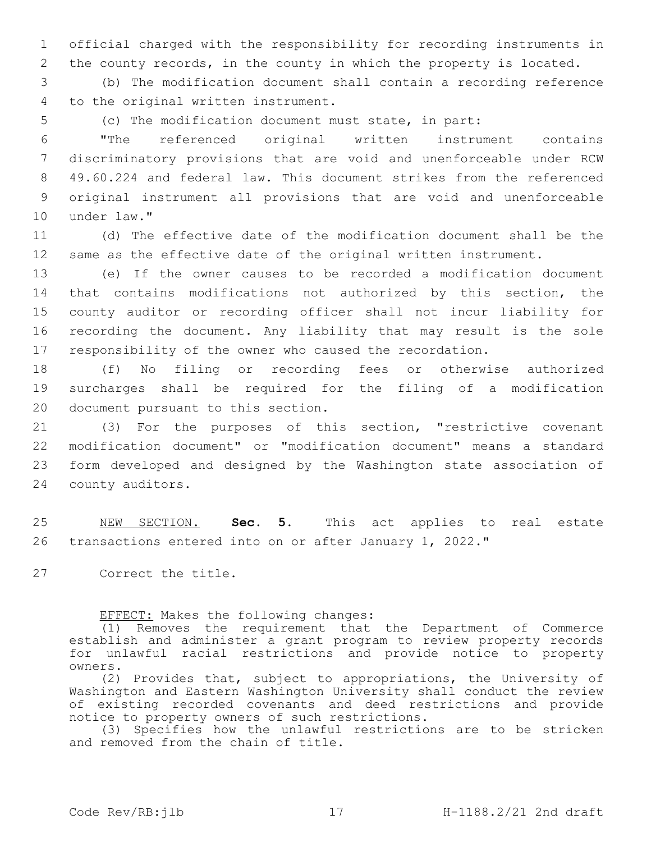1 official charged with the responsibility for recording instruments in 2 the county records, in the county in which the property is located.

3 (b) The modification document shall contain a recording reference 4 to the original written instrument.

5 (c) The modification document must state, in part:

 "The referenced original written instrument contains discriminatory provisions that are void and unenforceable under RCW 49.60.224 and federal law. This document strikes from the referenced original instrument all provisions that are void and unenforceable 10 under law."

11 (d) The effective date of the modification document shall be the 12 same as the effective date of the original written instrument.

 (e) If the owner causes to be recorded a modification document that contains modifications not authorized by this section, the county auditor or recording officer shall not incur liability for recording the document. Any liability that may result is the sole responsibility of the owner who caused the recordation.

18 (f) No filing or recording fees or otherwise authorized 19 surcharges shall be required for the filing of a modification 20 document pursuant to this section.

 (3) For the purposes of this section, "restrictive covenant modification document" or "modification document" means a standard form developed and designed by the Washington state association of 24 county auditors.

25 NEW SECTION. **Sec. 5.** This act applies to real estate 26 transactions entered into on or after January 1, 2022."

27 Correct the title.

EFFECT: Makes the following changes:

(1) Removes the requirement that the Department of Commerce establish and administer a grant program to review property records for unlawful racial restrictions and provide notice to property owners.

(2) Provides that, subject to appropriations, the University of Washington and Eastern Washington University shall conduct the review of existing recorded covenants and deed restrictions and provide notice to property owners of such restrictions.

(3) Specifies how the unlawful restrictions are to be stricken and removed from the chain of title.